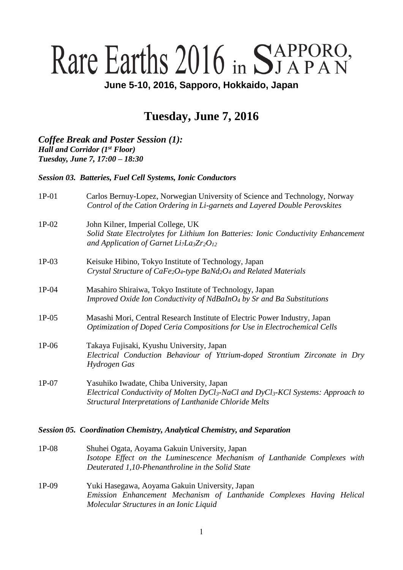# Rare Earths 2016 in STAPPORO,

**June 5-10, 2016, Sapporo, Hokkaido, Japan**

# **Tuesday, June 7, 2016**

*Coffee Break and Poster Session (1): Hall and Corridor (1st Floor) Tuesday, June 7, 17:00 – 18:30*

*Session 03. Batteries, Fuel Cell Systems, Ionic Conductors*

| $1P-01$ | Carlos Bernuy-Lopez, Norwegian University of Science and Technology, Norway<br>Control of the Cation Ordering in Li-garnets and Layered Double Perovskites                                                               |
|---------|--------------------------------------------------------------------------------------------------------------------------------------------------------------------------------------------------------------------------|
| $1P-02$ | John Kilner, Imperial College, UK<br>Solid State Electrolytes for Lithium Ion Batteries: Ionic Conductivity Enhancement<br>and Application of Garnet Li <sub>7</sub> La <sub>3</sub> Zr <sub>2</sub> O <sub>12</sub>     |
| $1P-03$ | Keisuke Hibino, Tokyo Institute of Technology, Japan<br>Crystal Structure of CaFe <sub>2</sub> O <sub>4</sub> -type BaNd <sub>2</sub> O <sub>4</sub> and Related Materials                                               |
| $1P-04$ | Masahiro Shiraiwa, Tokyo Institute of Technology, Japan<br>Improved Oxide Ion Conductivity of NdBaInO <sub>4</sub> by Sr and Ba Substitutions                                                                            |
| $1P-05$ | Masashi Mori, Central Research Institute of Electric Power Industry, Japan<br>Optimization of Doped Ceria Compositions for Use in Electrochemical Cells                                                                  |
| $1P-06$ | Takaya Fujisaki, Kyushu University, Japan<br>Electrical Conduction Behaviour of Yttrium-doped Strontium Zirconate in Dry<br>Hydrogen Gas                                                                                 |
| $1P-07$ | Yasuhiko Iwadate, Chiba University, Japan<br>Electrical Conductivity of Molten DyCl <sub>3</sub> -NaCl and DyCl <sub>3</sub> -KCl Systems: Approach to<br><b>Structural Interpretations of Lanthanide Chloride Melts</b> |

#### *Session 05. Coordination Chemistry, Analytical Chemistry, and Separation*

1P-08 Shuhei Ogata, Aoyama Gakuin University, Japan *Isotope Effect on the Luminescence Mechanism of Lanthanide Complexes with Deuterated 1,10-Phenanthroline in the Solid State* 1P-09 Yuki Hasegawa, Aoyama Gakuin University, Japan *Emission Enhancement Mechanism of Lanthanide Complexes Having Helical Molecular Structures in an Ionic Liquid*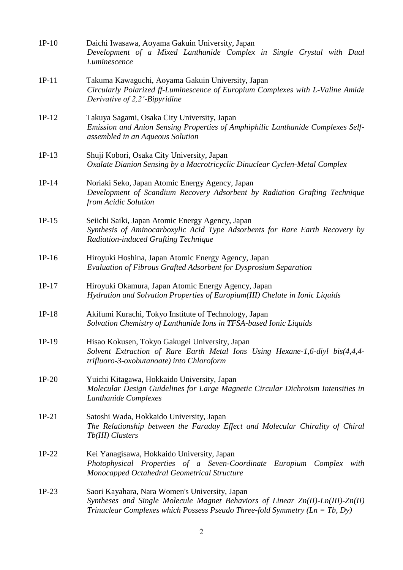| $1P-10$ | Daichi Iwasawa, Aoyama Gakuin University, Japan<br>Development of a Mixed Lanthanide Complex in Single Crystal with Dual<br>Luminescence                                                                            |
|---------|---------------------------------------------------------------------------------------------------------------------------------------------------------------------------------------------------------------------|
| $1P-11$ | Takuma Kawaguchi, Aoyama Gakuin University, Japan<br>Circularly Polarized ff-Luminescence of Europium Complexes with L-Valine Amide<br>Derivative of 2,2'-Bipyridine                                                |
| $1P-12$ | Takuya Sagami, Osaka City University, Japan<br>Emission and Anion Sensing Properties of Amphiphilic Lanthanide Complexes Self-<br>assembled in an Aqueous Solution                                                  |
| $1P-13$ | Shuji Kobori, Osaka City University, Japan<br>Oxalate Dianion Sensing by a Macrotricyclic Dinuclear Cyclen-Metal Complex                                                                                            |
| $1P-14$ | Noriaki Seko, Japan Atomic Energy Agency, Japan<br>Development of Scandium Recovery Adsorbent by Radiation Grafting Technique<br>from Acidic Solution                                                               |
| $1P-15$ | Seiichi Saiki, Japan Atomic Energy Agency, Japan<br>Synthesis of Aminocarboxylic Acid Type Adsorbents for Rare Earth Recovery by<br>Radiation-induced Grafting Technique                                            |
| $1P-16$ | Hiroyuki Hoshina, Japan Atomic Energy Agency, Japan<br>Evaluation of Fibrous Grafted Adsorbent for Dysprosium Separation                                                                                            |
| $1P-17$ | Hiroyuki Okamura, Japan Atomic Energy Agency, Japan<br>Hydration and Solvation Properties of Europium(III) Chelate in Ionic Liquids                                                                                 |
| $1P-18$ | Akifumi Kurachi, Tokyo Institute of Technology, Japan<br>Solvation Chemistry of Lanthanide Ions in TFSA-based Ionic Liquids                                                                                         |
| 1P-19   | Hisao Kokusen, Tokyo Gakugei University, Japan<br>Solvent Extraction of Rare Earth Metal Ions Using Hexane-1,6-diyl bis(4,4,4-<br>trifluoro-3-oxobutanoate) into Chloroform                                         |
| $1P-20$ | Yuichi Kitagawa, Hokkaido University, Japan<br>Molecular Design Guidelines for Large Magnetic Circular Dichroism Intensities in<br>Lanthanide Complexes                                                             |
| $1P-21$ | Satoshi Wada, Hokkaido University, Japan<br>The Relationship between the Faraday Effect and Molecular Chirality of Chiral<br>Tb(III) Clusters                                                                       |
| $1P-22$ | Kei Yanagisawa, Hokkaido University, Japan<br>Photophysical Properties of a Seven-Coordinate Europium Complex<br>with<br>Monocapped Octahedral Geometrical Structure                                                |
| $1P-23$ | Saori Kayahara, Nara Women's University, Japan<br>Syntheses and Single Molecule Magnet Behaviors of Linear Zn(II)-Ln(III)-Zn(II)<br>Trinuclear Complexes which Possess Pseudo Three-fold Symmetry ( $Ln = Tb$ , Dy) |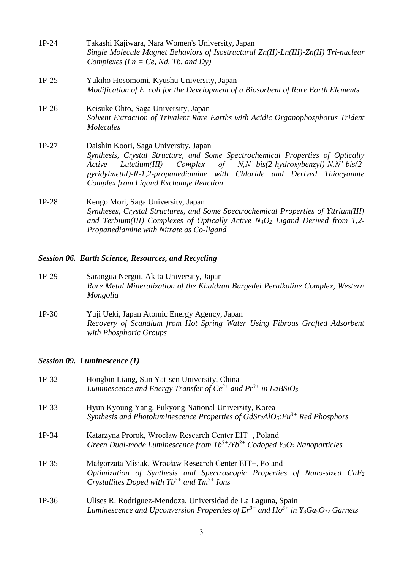| $1P-24$ | Takashi Kajiwara, Nara Women's University, Japan<br>Single Molecule Magnet Behaviors of Isostructural $Zn(II)$ -Ln(III)- $Zn(II)$ Tri-nuclear<br>Complexes ( $Ln = Ce$ , Nd, Tb, and Dy)                                                                                                                                             |
|---------|--------------------------------------------------------------------------------------------------------------------------------------------------------------------------------------------------------------------------------------------------------------------------------------------------------------------------------------|
| $1P-25$ | Yukiho Hosomomi, Kyushu University, Japan<br>Modification of E. coli for the Development of a Biosorbent of Rare Earth Elements                                                                                                                                                                                                      |
| $1P-26$ | Keisuke Ohto, Saga University, Japan<br>Solvent Extraction of Trivalent Rare Earths with Acidic Organophosphorus Trident<br><i>Molecules</i>                                                                                                                                                                                         |
| $1P-27$ | Daishin Koori, Saga University, Japan<br>Synthesis, Crystal Structure, and Some Spectrochemical Properties of Optically<br>Complex of $N, N'$ -bis(2-hydroxybenzyl)- $N, N'$ -bis(2-<br>Lutetium(III)<br>Active<br>pyridylmethl)-R-1,2-propanediamine with Chloride and Derived Thiocyanate<br>Complex from Ligand Exchange Reaction |
| $1P-28$ | Kengo Mori, Saga University, Japan<br>Syntheses, Crystal Structures, and Some Spectrochemical Properties of Yttrium(III)<br>and Terbium(III) Complexes of Optically Active $N_4O_2$ Ligand Derived from 1,2-<br>Propanediamine with Nitrate as Co-ligand                                                                             |

#### *Session 06. Earth Science, Resources, and Recycling*

- 1P-29 Sarangua Nergui, Akita University, Japan *Rare Metal Mineralization of the Khaldzan Burgedei Peralkaline Complex, Western Mongolia*
- 1P-30 Yuji Ueki, Japan Atomic Energy Agency, Japan *Recovery of Scandium from Hot Spring Water Using Fibrous Grafted Adsorbent with Phosphoric Groups*

### *Session 09. Luminescence (1)*

| $1P-32$ | Hongbin Liang, Sun Yat-sen University, China<br>Luminescence and Energy Transfer of $Ce^{3+}$ and $Pr^{3+}$ in LaBSiO <sub>5</sub>                                                             |
|---------|------------------------------------------------------------------------------------------------------------------------------------------------------------------------------------------------|
| $1P-33$ | Hyun Kyoung Yang, Pukyong National University, Korea<br>Synthesis and Photoluminescence Properties of $GdSr_2AlO_5:Eu^{3+}$ Red Phosphors                                                      |
| $1P-34$ | Katarzyna Prorok, Wrocław Research Center EIT+, Poland<br>Green Dual-mode Luminescence from $Tb^{3+}/Yb^{3+}$ Codoped $Y_2O_3$ Nanoparticles                                                   |
| $1P-35$ | Małgorzata Misiak, Wrocław Research Center EIT+, Poland<br>Optimization of Synthesis and Spectroscopic Properties of Nano-sized $CaF2$<br>Crystallites Doped with $Yb^{3+}$ and $Tm^{3+}$ Ions |
| $1P-36$ | Ulises R. Rodriguez-Mendoza, Universidad de La Laguna, Spain<br>Luminescence and Upconversion Properties of $Er^{3+}$ and $Ho^{3+}$ in Y <sub>3</sub> Ga <sub>5</sub> O <sub>12</sub> Garnets  |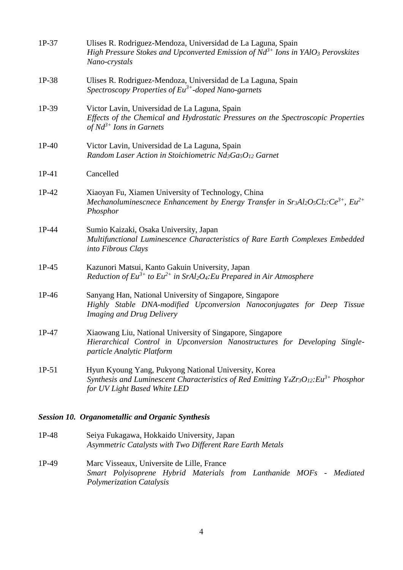| 1P-37   | Ulises R. Rodriguez-Mendoza, Universidad de La Laguna, Spain<br>High Pressure Stokes and Upconverted Emission of $Nd^{3+}$ Ions in YAlO <sub>3</sub> Perovskites<br>Nano-crystals             |
|---------|-----------------------------------------------------------------------------------------------------------------------------------------------------------------------------------------------|
| 1P-38   | Ulises R. Rodriguez-Mendoza, Universidad de La Laguna, Spain<br>Spectroscopy Properties of $Eu^{3+}$ -doped Nano-garnets                                                                      |
| 1P-39   | Victor Lavin, Universidad de La Laguna, Spain<br>Effects of the Chemical and Hydrostatic Pressures on the Spectroscopic Properties<br>of $Nd^{3+}$ Ions in Garnets                            |
| $1P-40$ | Victor Lavin, Universidad de La Laguna, Spain<br>Random Laser Action in Stoichiometric Nd <sub>3</sub> Ga <sub>5</sub> O <sub>12</sub> Garnet                                                 |
| $1P-41$ | Cancelled                                                                                                                                                                                     |
| $1P-42$ | Xiaoyan Fu, Xiamen University of Technology, China<br>Mechanoluminescnece Enhancement by Energy Transfer in $Sr3Al2O5Cl2$ : $Ce3+$ , $Eu2+$<br>Phosphor                                       |
| 1P-44   | Sumio Kaizaki, Osaka University, Japan<br>Multifunctional Luminescence Characteristics of Rare Earth Complexes Embedded<br>into Fibrous Clays                                                 |
| $1P-45$ | Kazunori Matsui, Kanto Gakuin University, Japan<br>Reduction of $Eu^{3+}$ to $Eu^{2+}$ in SrAl <sub>2</sub> O <sub>4</sub> : Eu Prepared in Air Atmosphere                                    |
| 1P-46   | Sanyang Han, National University of Singapore, Singapore<br>Highly Stable DNA-modified Upconversion Nanoconjugates for Deep Tissue<br><b>Imaging and Drug Delivery</b>                        |
| $1P-47$ | Xiaowang Liu, National University of Singapore, Singapore<br>Hierarchical Control in Upconversion Nanostructures for Developing Single-<br>particle Analytic Platform                         |
| $1P-51$ | Hyun Kyoung Yang, Pukyong National University, Korea<br>Synthesis and Luminescent Characteristics of Red Emitting $Y_4Zr_3O_{12}$ : Eu <sup>3+</sup> Phosphor<br>for UV Light Based White LED |
|         | <b>Session 10. Organometallic and Organic Synthesis</b>                                                                                                                                       |

- 1P-48 Seiya Fukagawa, Hokkaido University, Japan *Asymmetric Catalysts with Two Different Rare Earth Metals*
- 1P-49 Marc Visseaux, Universite de Lille, France *Smart Polyisoprene Hybrid Materials from Lanthanide MOFs - Mediated Polymerization Catalysis*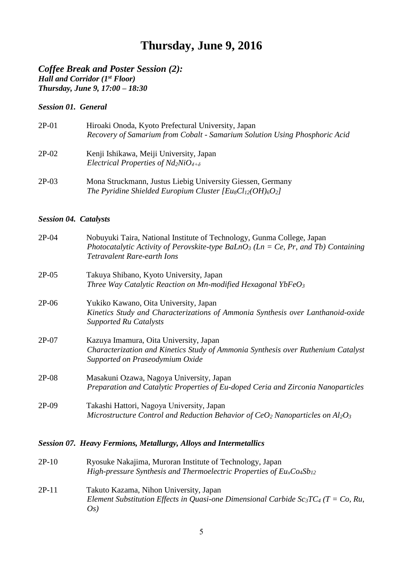# **Thursday, June 9, 2016**

*Coffee Break and Poster Session (2): Hall and Corridor (1st Floor) Thursday, June 9, 17:00 – 18:30*

#### *Session 01. General*

| $2P-01$  | Hiroaki Onoda, Kyoto Prefectural University, Japan<br>Recovery of Samarium from Cobalt - Samarium Solution Using Phosphoric Acid |
|----------|----------------------------------------------------------------------------------------------------------------------------------|
| $2P-02$  | Kenji Ishikawa, Meiji University, Japan<br>Electrical Properties of $Nd_2NiO_{4+\delta}$                                         |
| $\Omega$ |                                                                                                                                  |

2P-03 Mona Struckmann, Justus Liebig University Giessen, Germany *The Pyridine Shielded Europium Cluster [Eu8Cl12(OH)6O2]*

#### *Session 04. Catalysts*

| $2P-04$ | Nobuyuki Taira, National Institute of Technology, Gunma College, Japan<br>Photocatalytic Activity of Perovskite-type BaLnO <sub>3</sub> (Ln = Ce, Pr, and Tb) Containing<br><b>Tetravalent Rare-earth Ions</b> |
|---------|----------------------------------------------------------------------------------------------------------------------------------------------------------------------------------------------------------------|
| $2P-05$ | Takuya Shibano, Kyoto University, Japan<br>Three Way Catalytic Reaction on Mn-modified Hexagonal YbFe $O_3$                                                                                                    |
| $2P-06$ | Yukiko Kawano, Oita University, Japan<br>Kinetics Study and Characterizations of Ammonia Synthesis over Lanthanoid-oxide<br><b>Supported Ru Catalysts</b>                                                      |
| $2P-07$ | Kazuya Imamura, Oita University, Japan<br>Characterization and Kinetics Study of Ammonia Synthesis over Ruthenium Catalyst<br>Supported on Praseodymium Oxide                                                  |
| $2P-08$ | Masakuni Ozawa, Nagoya University, Japan<br>Preparation and Catalytic Properties of Eu-doped Ceria and Zirconia Nanoparticles                                                                                  |
| $2P-09$ | Takashi Hattori, Nagoya University, Japan<br>Microstructure Control and Reduction Behavior of $CeO2$ Nanoparticles on $Al2O3$                                                                                  |
|         |                                                                                                                                                                                                                |

#### *Session 07. Heavy Fermions, Metallurgy, Alloys and Intermetallics*

| $2P-10$ | Ryosuke Nakajima, Muroran Institute of Technology, Japan                       |
|---------|--------------------------------------------------------------------------------|
|         | High-pressure Synthesis and Thermoelectric Properties of $Eu_{x}Co_{4}Sb_{12}$ |

2P-11 Takuto Kazama, Nihon University, Japan *Element Substitution Effects in Quasi-one Dimensional Carbide Sc<sub>3</sub>TC<sub>4</sub> (T = Co, Ru, Os)*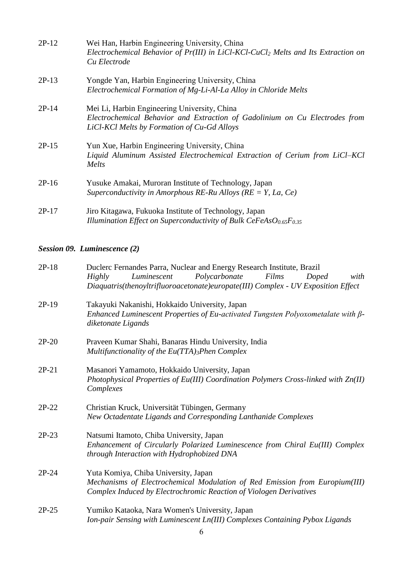| $2P-12$ | Wei Han, Harbin Engineering University, China<br>Electrochemical Behavior of Pr(III) in LiCl-KCl-CuCl <sub>2</sub> Melts and Its Extraction on<br>Cu Electrode             |
|---------|----------------------------------------------------------------------------------------------------------------------------------------------------------------------------|
| $2P-13$ | Yongde Yan, Harbin Engineering University, China<br>Electrochemical Formation of Mg-Li-Al-La Alloy in Chloride Melts                                                       |
| $2P-14$ | Mei Li, Harbin Engineering University, China<br>Electrochemical Behavior and Extraction of Gadolinium on Cu Electrodes from<br>LiCl-KCl Melts by Formation of Cu-Gd Alloys |
| $2P-15$ | Yun Xue, Harbin Engineering University, China<br>Liquid Aluminum Assisted Electrochemical Extraction of Cerium from LiCl-KCl<br>Melts                                      |
| $2P-16$ | Yusuke Amakai, Muroran Institute of Technology, Japan<br>Superconductivity in Amorphous RE-Ru Alloys ( $RE = Y$ , La, Ce)                                                  |
| $2P-17$ | Jiro Kitagawa, Fukuoka Institute of Technology, Japan<br>Illumination Effect on Superconductivity of Bulk CeFeAs $O_{0.65}F_{0.35}$                                        |

## *Session 09. Luminescence (2)*

| $2P-18$ | Duclerc Fernandes Parra, Nuclear and Energy Research Institute, Brazil<br>Polycarbonate<br>Luminescent<br>Films<br>with<br>Highly<br>Doped<br>Diaquatris(thenoyltrifluoroacetonate)europate(III) Complex - UV Exposition Effect |
|---------|---------------------------------------------------------------------------------------------------------------------------------------------------------------------------------------------------------------------------------|
| $2P-19$ | Takayuki Nakanishi, Hokkaido University, Japan<br>Enhanced Luminescent Properties of Eu-activated Tungsten Polyoxometalate with $\beta$ -<br>diketonate Ligands                                                                 |
| $2P-20$ | Praveen Kumar Shahi, Banaras Hindu University, India<br>Multifunctionality of the Eu(TTA)3Phen Complex                                                                                                                          |
| $2P-21$ | Masanori Yamamoto, Hokkaido University, Japan<br>Photophysical Properties of Eu(III) Coordination Polymers Cross-linked with Zn(II)<br>Complexes                                                                                |
| $2P-22$ | Christian Kruck, Universität Tübingen, Germany<br>New Octadentate Ligands and Corresponding Lanthanide Complexes                                                                                                                |
| $2P-23$ | Natsumi Itamoto, Chiba University, Japan<br>Enhancement of Circularly Polarized Luminescence from Chiral Eu(III) Complex<br>through Interaction with Hydrophobized DNA                                                          |
| $2P-24$ | Yuta Komiya, Chiba University, Japan<br>Mechanisms of Electrochemical Modulation of Red Emission from Europium(III)<br>Complex Induced by Electrochromic Reaction of Viologen Derivatives                                       |
| $2P-25$ | Yumiko Kataoka, Nara Women's University, Japan<br>Ion-pair Sensing with Luminescent Ln(III) Complexes Containing Pybox Ligands                                                                                                  |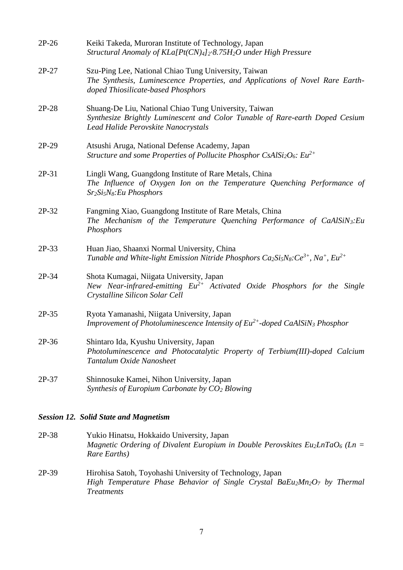| $2P-26$ | Keiki Takeda, Muroran Institute of Technology, Japan<br>Structural Anomaly of KLa[Pt(CN)4]2-8.75H2O under High Pressure                                                      |
|---------|------------------------------------------------------------------------------------------------------------------------------------------------------------------------------|
| $2P-27$ | Szu-Ping Lee, National Chiao Tung University, Taiwan<br>The Synthesis, Luminescence Properties, and Applications of Novel Rare Earth-<br>doped Thiosilicate-based Phosphors  |
| $2P-28$ | Shuang-De Liu, National Chiao Tung University, Taiwan<br>Synthesize Brightly Luminescent and Color Tunable of Rare-earth Doped Cesium<br>Lead Halide Perovskite Nanocrystals |
| $2P-29$ | Atsushi Aruga, National Defense Academy, Japan<br>Structure and some Properties of Pollucite Phosphor CsAlSi <sub>2</sub> O <sub>6</sub> : $Eu^{2+}$                         |
| $2P-31$ | Lingli Wang, Guangdong Institute of Rare Metals, China<br>The Influence of Oxygen Ion on the Temperature Quenching Performance of<br>$Sr2Si5N8: Eu Phosphors$                |
| 2P-32   | Fangming Xiao, Guangdong Institute of Rare Metals, China<br>The Mechanism of the Temperature Quenching Performance of CaAlSiN3: Eu<br>Phosphors                              |
| $2P-33$ | Huan Jiao, Shaanxi Normal University, China<br>Tunable and White-light Emission Nitride Phosphors $Ca_2Si_5Ns:Ce^{3+}$ , Na <sup>+</sup> , Eu <sup>2+</sup>                  |
| 2P-34   | Shota Kumagai, Niigata University, Japan<br>New Near-infrared-emitting $Eu^{2+}$ Activated Oxide Phosphors for the Single<br>Crystalline Silicon Solar Cell                  |
| $2P-35$ | Ryota Yamanashi, Niigata University, Japan<br>Improvement of Photoluminescence Intensity of $Eu^{2+}$ -doped CaAlSiN <sub>3</sub> Phosphor                                   |
| 2P-36   | Shintaro Ida, Kyushu University, Japan<br>Photoluminescence and Photocatalytic Property of Terbium(III)-doped Calcium<br>Tantalum Oxide Nanosheet                            |
| $2P-37$ | Shinnosuke Kamei, Nihon University, Japan<br>Synthesis of Europium Carbonate by $CO2$ Blowing                                                                                |

## *Session 12. Solid State and Magnetism*

- 2P-38 Yukio Hinatsu, Hokkaido University, Japan *Magnetic Ordering of Divalent Europium in Double Perovskites Eu2LnTaO<sup>6</sup> (Ln = Rare Earths)*
- 2P-39 Hirohisa Satoh, Toyohashi University of Technology, Japan *High Temperature Phase Behavior of Single Crystal BaEu2Mn2O<sup>7</sup> by Thermal Treatments*